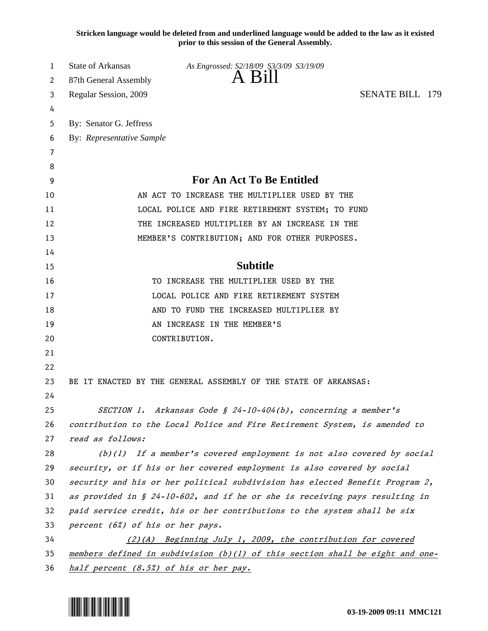**Stricken language would be deleted from and underlined language would be added to the law as it existed prior to this session of the General Assembly.**

| 1  | State of Arkansas                                                              | As Engrossed: S2/18/09 S3/3/09 S3/19/09                                       |  |  |  |
|----|--------------------------------------------------------------------------------|-------------------------------------------------------------------------------|--|--|--|
| 2  | A Bill<br>87th General Assembly                                                |                                                                               |  |  |  |
| 3  | <b>SENATE BILL 179</b><br>Regular Session, 2009                                |                                                                               |  |  |  |
| 4  |                                                                                |                                                                               |  |  |  |
| 5  | By: Senator G. Jeffress                                                        |                                                                               |  |  |  |
| 6  | By: Representative Sample                                                      |                                                                               |  |  |  |
| 7  |                                                                                |                                                                               |  |  |  |
| 8  |                                                                                |                                                                               |  |  |  |
| 9  | <b>For An Act To Be Entitled</b>                                               |                                                                               |  |  |  |
| 10 | AN ACT TO INCREASE THE MULTIPLIER USED BY THE                                  |                                                                               |  |  |  |
| 11 | LOCAL POLICE AND FIRE RETIREMENT SYSTEM; TO FUND                               |                                                                               |  |  |  |
| 12 | THE INCREASED MULTIPLIER BY AN INCREASE IN THE                                 |                                                                               |  |  |  |
| 13 |                                                                                | MEMBER'S CONTRIBUTION; AND FOR OTHER PURPOSES.                                |  |  |  |
| 14 |                                                                                |                                                                               |  |  |  |
| 15 |                                                                                | <b>Subtitle</b>                                                               |  |  |  |
| 16 |                                                                                | TO INCREASE THE MULTIPLIER USED BY THE                                        |  |  |  |
| 17 |                                                                                | LOCAL POLICE AND FIRE RETIREMENT SYSTEM                                       |  |  |  |
| 18 |                                                                                | AND TO FUND THE INCREASED MULTIPLIER BY                                       |  |  |  |
| 19 |                                                                                | AN INCREASE IN THE MEMBER'S                                                   |  |  |  |
| 20 |                                                                                | CONTRIBUTION.                                                                 |  |  |  |
| 21 |                                                                                |                                                                               |  |  |  |
| 22 |                                                                                |                                                                               |  |  |  |
| 23 |                                                                                | BE IT ENACTED BY THE GENERAL ASSEMBLY OF THE STATE OF ARKANSAS:               |  |  |  |
| 24 |                                                                                |                                                                               |  |  |  |
| 25 |                                                                                | SECTION 1. Arkansas Code § 24-10-404(b), concerning a member's                |  |  |  |
| 26 |                                                                                | contribution to the Local Police and Fire Retirement System, is amended to    |  |  |  |
| 27 | read as follows:                                                               |                                                                               |  |  |  |
| 28 |                                                                                | $(b)(1)$ If a member's covered employment is not also covered by social       |  |  |  |
| 29 |                                                                                | security, or if his or her covered employment is also covered by social       |  |  |  |
| 30 |                                                                                | security and his or her political subdivision has elected Benefit Program 2,  |  |  |  |
| 31 | as provided in $\S$ 24-10-602, and if he or she is receiving pays resulting in |                                                                               |  |  |  |
| 32 | paid service credit, his or her contributions to the system shall be six       |                                                                               |  |  |  |
| 33 | percent (6%) of his or her pays.                                               |                                                                               |  |  |  |
| 34 |                                                                                | $(2)(A)$ Beginning July 1, 2009, the contribution for covered                 |  |  |  |
| 35 |                                                                                | members defined in subdivision (b)(l) of this section shall be eight and one- |  |  |  |
| 36 | half percent (8.5%) of his or her pay.                                         |                                                                               |  |  |  |

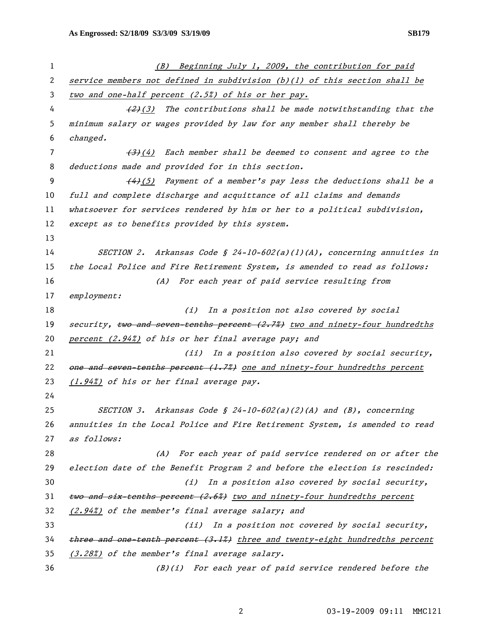| 1  | (B) Beginning July 1, 2009, the contribution for paid                         |  |  |
|----|-------------------------------------------------------------------------------|--|--|
| 2  | service members not defined in subdivision $(b)(1)$ of this section shall be  |  |  |
| 3  | two and one-half percent (2.5%) of his or her pay.                            |  |  |
| 4  | $\frac{2}{2}(3)$ The contributions shall be made notwithstanding that the     |  |  |
| 5  | minimum salary or wages provided by law for any member shall thereby be       |  |  |
| 6  | changed.                                                                      |  |  |
| 7  | $\overline{(+3)}$ (4) Each member shall be deemed to consent and agree to the |  |  |
| 8  | deductions made and provided for in this section.                             |  |  |
| 9  | $\frac{44(5)}{2}$ Payment of a member's pay less the deductions shall be a    |  |  |
| 10 | full and complete discharge and acquittance of all claims and demands         |  |  |
| 11 | whatsoever for services rendered by him or her to a political subdivision,    |  |  |
| 12 | except as to benefits provided by this system.                                |  |  |
| 13 |                                                                               |  |  |
| 14 | SECTION 2. Arkansas Code § 24-10-602(a)(1)(A), concerning annuities in        |  |  |
| 15 | the Local Police and Fire Retirement System, is amended to read as follows:   |  |  |
| 16 | (A) For each year of paid service resulting from                              |  |  |
| 17 | employment:                                                                   |  |  |
| 18 | In a position not also covered by social<br>(i)                               |  |  |
| 19 | security, two and seven tenths percent (2.7%) two and ninety-four hundredths  |  |  |
| 20 | percent (2.94%) of his or her final average pay; and                          |  |  |
| 21 | (ii) In a position also covered by social security,                           |  |  |
| 22 | one and seven-tenths percent (1.7%) one and ninety-four hundredths percent    |  |  |
| 23 | (1.94%) of his or her final average pay.                                      |  |  |
| 24 |                                                                               |  |  |
| 25 | SECTION 3. Arkansas Code § 24-10-602(a)(2)(A) and (B), concerning             |  |  |
| 26 | annuities in the Local Police and Fire Retirement System, is amended to read  |  |  |
| 27 | as follows:                                                                   |  |  |
| 28 | For each year of paid service rendered on or after the<br>(A)                 |  |  |
| 29 | election date of the Benefit Program 2 and before the election is rescinded:  |  |  |
| 30 | In a position also covered by social security,<br>(i)                         |  |  |
| 31 | two and six-tenths percent (2.6%) two and ninety-four hundredths percent      |  |  |
| 32 | (2.94%) of the member's final average salary; and                             |  |  |
| 33 | (ii) In a position not covered by social security,                            |  |  |
| 34 | three and one tenth percent (3.1%) three and twenty-eight hundredths percent  |  |  |
| 35 | (3.28%) of the member's final average salary.                                 |  |  |
| 36 | (B)(i) For each year of paid service rendered before the                      |  |  |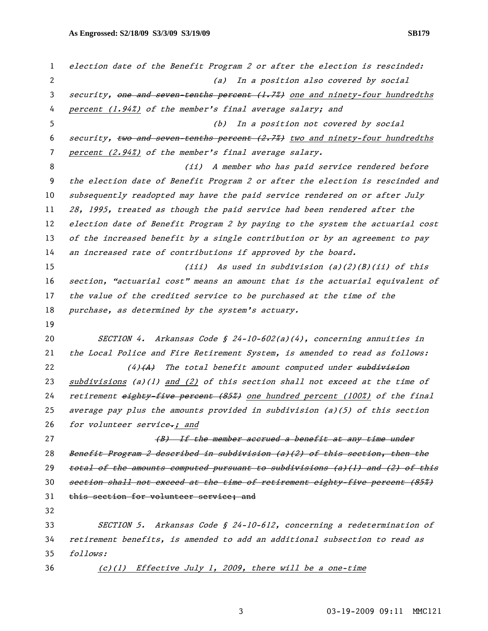1 election date of the Benefit Program 2 or after the election is rescinded: 2 (a) In a position also covered by social 3 security, one and seven-tenths percent (1.7%) one and ninety-four hundredths 4 percent (1.94%) of the member's final average salary; and 5 (b) In a position not covered by social 6 security,  $two$  and seven-tenths percent  $(2.7%)$  two and ninety-four hundredths 7 percent (2.94%) of the member's final average salary. 8 (ii) A member who has paid service rendered before 9 the election date of Benefit Program 2 or after the election is rescinded and 10 subsequently readopted may have the paid service rendered on or after July 11 28, 1995, treated as though the paid service had been rendered after the 12 election date of Benefit Program 2 by paying to the system the actuarial cost 13 of the increased benefit by a single contribution or by an agreement to pay 14 an increased rate of contributions if approved by the board. 15 (iii) As used in subdivision (a)(2)(B)(ii) of this 16 section, "actuarial cost" means an amount that is the actuarial equivalent of 17 the value of the credited service to be purchased at the time of the 18 purchase, as determined by the system's actuary. 19 20 SECTION 4. Arkansas Code § 24-10-602(a)(4), concerning annuities in 21 the Local Police and Fire Retirement System, is amended to read as follows: 22 (4)  $(A)$  The total benefit amount computed under subdivision 23 subdivisions (a)(1) and (2) of this section shall not exceed at the time of 24 retirement eighty-five percent (85%) one hundred percent (100%) of the final 25 average pay plus the amounts provided in subdivision (a)(5) of this section 26 for volunteer service $\rightarrow$ ; and 27 (B) If the member accrued a benefit at any time under 28 Benefit Program 2 described in subdivision (a)(2) of this section, then the 29 total of the amounts computed pursuant to subdivisions (a)(1) and (2) of this 30 section shall not exceed at the time of retirement eighty-five percent (85%) 31 this section for volunteer service; and 32 33 SECTION 5. Arkansas Code § 24-10-612, concerning a redetermination of 34 retirement benefits, is amended to add an additional subsection to read as 35 follows: 36 (c)(1) Effective July 1, 2009, there will be a one-time